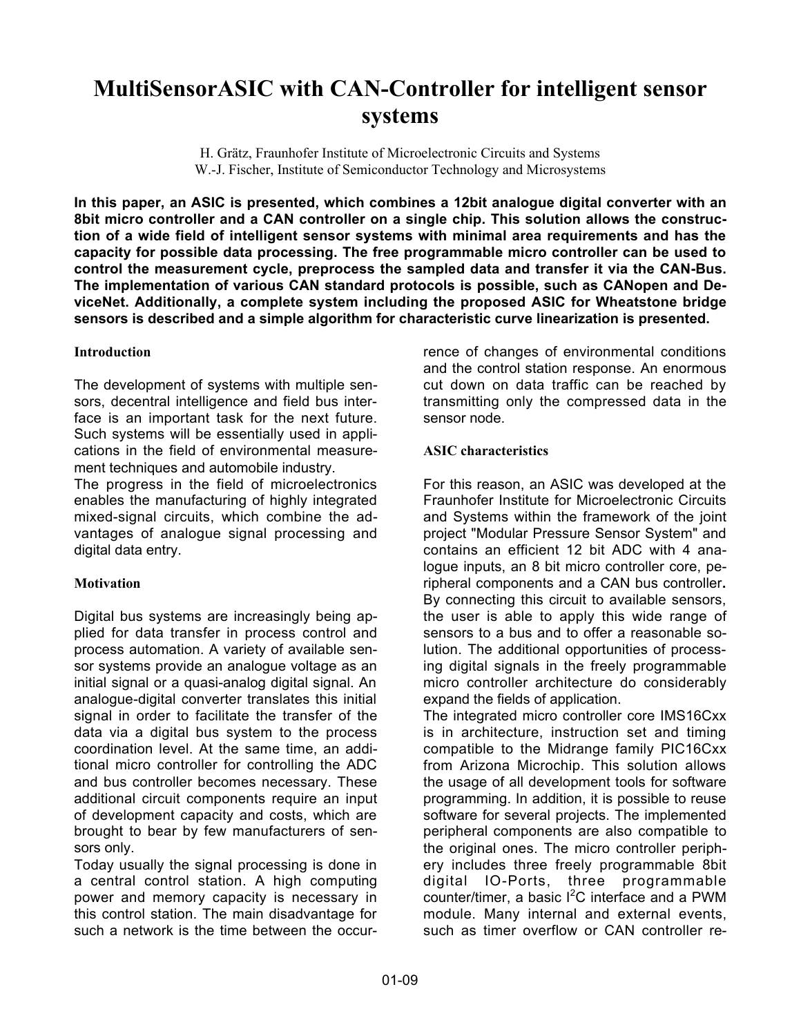# **MultiSensorASIC with CAN-Controller for intelligent sensor systems**

H. Grätz, Fraunhofer Institute of Microelectronic Circuits and Systems W.-J. Fischer, Institute of Semiconductor Technology and Microsystems

**In this paper, an ASIC is presented, which combines a 12bit analogue digital converter with an 8bit micro controller and a CAN controller on a single chip. This solution allows the construction of a wide field of intelligent sensor systems with minimal area requirements and has the capacity for possible data processing. The free programmable micro controller can be used to control the measurement cycle, preprocess the sampled data and transfer it via the CAN-Bus. The implementation of various CAN standard protocols is possible, such as CANopen and DeviceNet. Additionally, a complete system including the proposed ASIC for Wheatstone bridge sensors is described and a simple algorithm for characteristic curve linearization is presented.**

## **Introduction**

The development of systems with multiple sensors, decentral intelligence and field bus interface is an important task for the next future. Such systems will be essentially used in applications in the field of environmental measurement techniques and automobile industry.

The progress in the field of microelectronics enables the manufacturing of highly integrated mixed-signal circuits, which combine the advantages of analogue signal processing and digital data entry.

# **Motivation**

Digital bus systems are increasingly being applied for data transfer in process control and process automation. A variety of available sensor systems provide an analogue voltage as an initial signal or a quasi-analog digital signal. An analogue-digital converter translates this initial signal in order to facilitate the transfer of the data via a digital bus system to the process coordination level. At the same time, an additional micro controller for controlling the ADC and bus controller becomes necessary. These additional circuit components require an input of development capacity and costs, which are brought to bear by few manufacturers of sensors only.

Today usually the signal processing is done in a central control station. A high computing power and memory capacity is necessary in this control station. The main disadvantage for such a network is the time between the occurrence of changes of environmental conditions and the control station response. An enormous cut down on data traffic can be reached by transmitting only the compressed data in the sensor node.

# **ASIC characteristics**

For this reason, an ASIC was developed at the Fraunhofer Institute for Microelectronic Circuits and Systems within the framework of the joint project "Modular Pressure Sensor System" and contains an efficient 12 bit ADC with 4 analogue inputs, an 8 bit micro controller core, peripheral components and a CAN bus controller**.** By connecting this circuit to available sensors, the user is able to apply this wide range of sensors to a bus and to offer a reasonable solution. The additional opportunities of processing digital signals in the freely programmable micro controller architecture do considerably expand the fields of application.

The integrated micro controller core IMS16Cxx is in architecture, instruction set and timing compatible to the Midrange family PIC16Cxx from Arizona Microchip. This solution allows the usage of all development tools for software programming. In addition, it is possible to reuse software for several projects. The implemented peripheral components are also compatible to the original ones. The micro controller periphery includes three freely programmable 8bit digital IO-Ports, three programmable counter/timer, a basic I<sup>2</sup>C interface and a PWM module. Many internal and external events, such as timer overflow or CAN controller re-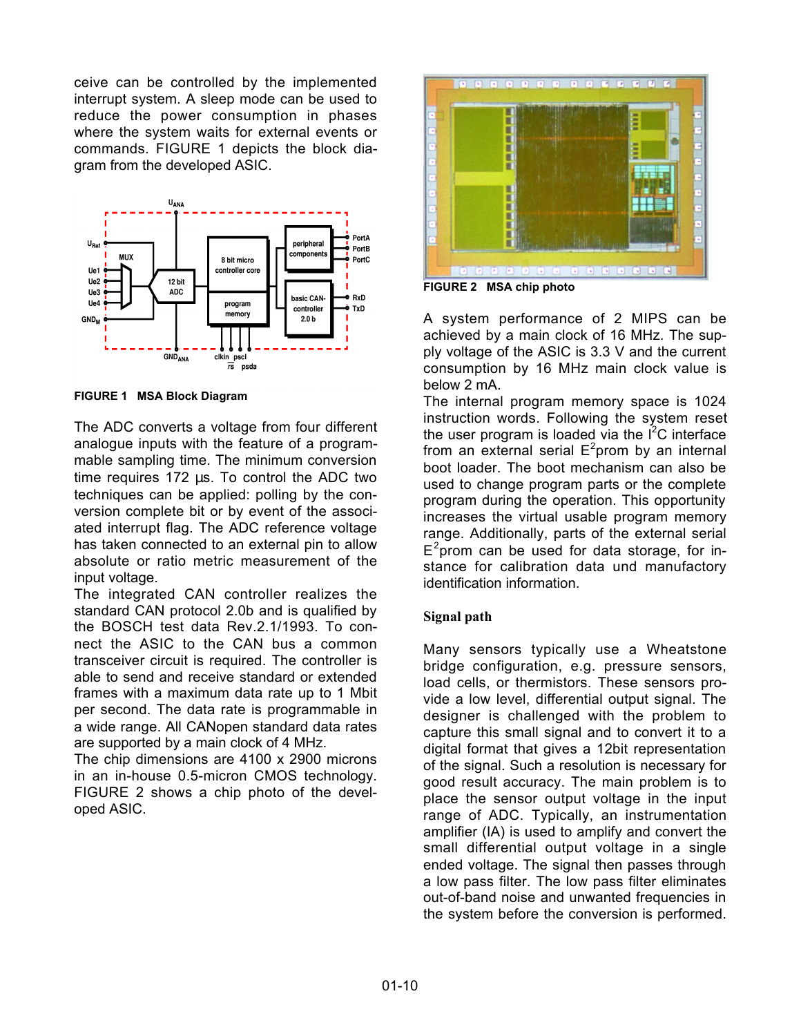ceive can be controlled by the implemented interrupt system. A sleep mode can be used to reduce the power consumption in phases where the system waits for external events or commands. FIGURE 1 depicts the block diagram from the developed ASIC.



**FIGURE 1 MSA Block Diagram**

The ADC converts a voltage from four different analogue inputs with the feature of a programmable sampling time. The minimum conversion time requires 172 µs. To control the ADC two techniques can be applied: polling by the conversion complete bit or by event of the associated interrupt flag. The ADC reference voltage has taken connected to an external pin to allow absolute or ratio metric measurement of the input voltage.

The integrated CAN controller realizes the standard CAN protocol 2.0b and is qualified by the BOSCH test data Rev.2.1/1993. To connect the ASIC to the CAN bus a common transceiver circuit is required. The controller is able to send and receive standard or extended frames with a maximum data rate up to 1 Mbit per second. The data rate is programmable in a wide range. All CANopen standard data rates are supported by a main clock of 4 MHz.

The chip dimensions are 4100 x 2900 microns in an in-house 0.5-micron CMOS technology. FIGURE 2 shows a chip photo of the developed ASIC.



**FIGURE 2 MSA chip photo**

A system performance of 2 MIPS can be achieved by a main clock of 16 MHz. The supply voltage of the ASIC is 3.3 V and the current consumption by 16 MHz main clock value is below 2 mA.

The internal program memory space is 1024 instruction words. Following the system reset the user program is loaded via the  $I<sup>2</sup>C$  interface from an external serial  $E^2$ prom by an internal boot loader. The boot mechanism can also be used to change program parts or the complete program during the operation. This opportunity increases the virtual usable program memory range. Additionally, parts of the external serial  $E^2$ prom can be used for data storage, for instance for calibration data und manufactory identification information.

# **Signal path**

Many sensors typically use a Wheatstone bridge configuration, e.g. pressure sensors, load cells, or thermistors. These sensors provide a low level, differential output signal. The designer is challenged with the problem to capture this small signal and to convert it to a digital format that gives a 12bit representation of the signal. Such a resolution is necessary for good result accuracy. The main problem is to place the sensor output voltage in the input range of ADC. Typically, an instrumentation amplifier (IA) is used to amplify and convert the small differential output voltage in a single ended voltage. The signal then passes through a low pass filter. The low pass filter eliminates out-of-band noise and unwanted frequencies in the system before the conversion is performed.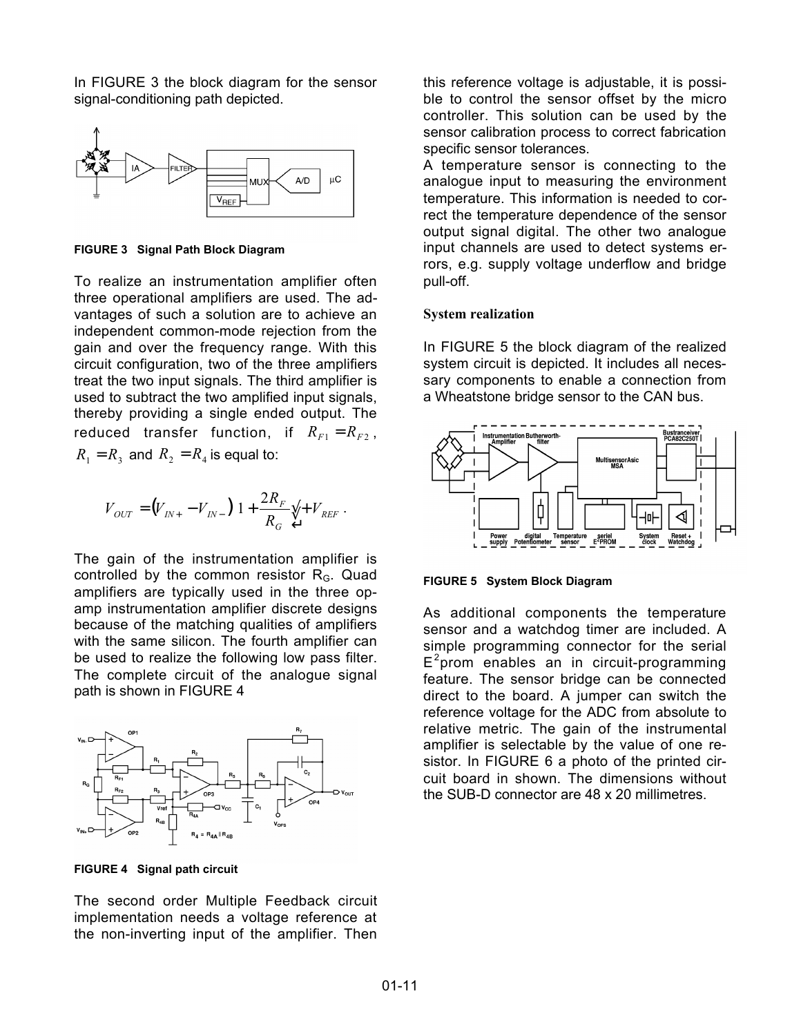In FIGURE 3 the block diagram for the sensor signal-conditioning path depicted.



**FIGURE 3 Signal Path Block Diagram**

To realize an instrumentation amplifier often three operational amplifiers are used. The advantages of such a solution are to achieve an independent common-mode rejection from the gain and over the frequency range. With this circuit configuration, two of the three amplifiers treat the two input signals. The third amplifier is used to subtract the two amplified input signals, thereby providing a single ended output. The reduced transfer function, if  $R_{F1} = R_{F2}$ ,  $R_1 = R_3$  and  $R_2 = R_4$  is equal to:

$$
V_{OUT} = (V_{I\!N+} - V_{I\!N-})\, \overline{1} + \frac{2 R_F}{R_G} \sqrt[4]{+V_{REF}} \; . \label{eq:VOUT}
$$

The gain of the instrumentation amplifier is controlled by the common resistor  $R<sub>G</sub>$ . Quad amplifiers are typically used in the three opamp instrumentation amplifier discrete designs because of the matching qualities of amplifiers with the same silicon. The fourth amplifier can be used to realize the following low pass filter. The complete circuit of the analogue signal path is shown in FIGURE 4



**FIGURE 4 Signal path circuit**

The second order Multiple Feedback circuit implementation needs a voltage reference at the non-inverting input of the amplifier. Then

this reference voltage is adjustable, it is possible to control the sensor offset by the micro controller. This solution can be used by the sensor calibration process to correct fabrication specific sensor tolerances.

A temperature sensor is connecting to the analogue input to measuring the environment temperature. This information is needed to correct the temperature dependence of the sensor output signal digital. The other two analogue input channels are used to detect systems errors, e.g. supply voltage underflow and bridge pull-off.

#### **System realization**

In FIGURE 5 the block diagram of the realized system circuit is depicted. It includes all necessary components to enable a connection from a Wheatstone bridge sensor to the CAN bus.



**FIGURE 5 System Block Diagram**

As additional components the temperature sensor and a watchdog timer are included. A simple programming connector for the serial  $E^2$ prom enables an in circuit-programming feature. The sensor bridge can be connected direct to the board. A jumper can switch the reference voltage for the ADC from absolute to relative metric. The gain of the instrumental amplifier is selectable by the value of one resistor. In FIGURE 6 a photo of the printed circuit board in shown. The dimensions without the SUB-D connector are 48 x 20 millimetres.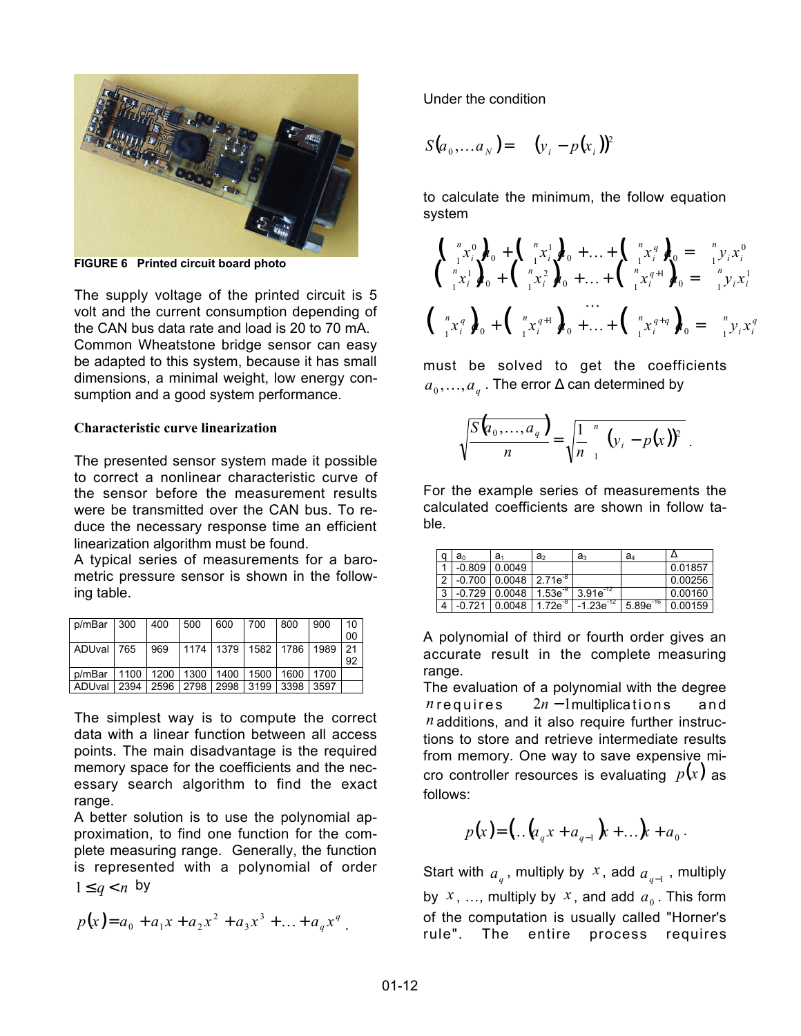

**FIGURE 6 Printed circuit board photo**

The supply voltage of the printed circuit is 5 volt and the current consumption depending of the CAN bus data rate and load is 20 to 70 mA. Common Wheatstone bridge sensor can easy be adapted to this system, because it has small dimensions, a minimal weight, low energy consumption and a good system performance.

## **Characteristic curve linearization**

The presented sensor system made it possible to correct a nonlinear characteristic curve of the sensor before the measurement results were be transmitted over the CAN bus. To reduce the necessary response time an efficient linearization algorithm must be found.

A typical series of measurements for a barometric pressure sensor is shown in the following table.

| p/mBar | 300  | 400  | 500  | 600  | 700  | 800            | 900  | 10 |
|--------|------|------|------|------|------|----------------|------|----|
|        |      |      |      |      |      |                |      | 00 |
| ADUval | 765  | 969  | 1174 | 1379 |      | 1582 1786 1989 |      | 21 |
|        |      |      |      |      |      |                |      | 92 |
| p/mBar | 1100 | 1200 | 1300 | 1400 | 1500 | 1600           | 1700 |    |
| ADUval | 2394 | 2596 | 2798 | 2998 | 3199 | 3398           | 3597 |    |

The simplest way is to compute the correct data with a linear function between all access points. The main disadvantage is the required memory space for the coefficients and the necessary search algorithm to find the exact range.

A better solution is to use the polynomial approximation, to find one function for the complete measuring range. Generally, the function is represented with a polynomial of order  $1 \leq q < n$  by

$$
p(x) = a_0 + a_1 x + a_2 x^2 + a_3 x^3 + \dots + a_q x^q
$$

Under the condition

$$
S(a_0,...a_N) = (y_i - p(x_i))^2
$$

to calculate the minimum, the follow equation system

$$
\begin{pmatrix} {n \choose 1} x_i^0 \\ {n \choose 2} x_i^1 \\ {n \choose 3} x_i^2 \end{pmatrix}_{0} + {n \choose 1} x_i^1 \\ {n \choose 2} x_i^2 + \ldots + {n \choose 1} x_i^q \\ {n \choose 3} x_i^q + \ldots + {n \choose 2} x_i^q + \ldots + {n \choose 3} x_i^q + \ldots
$$

$$
\ldots
$$

$$
{n \choose 1} x_i^q \\ {n \choose 2} x_i^q + \ldots + {n \choose 3} x_i^{q+1} \\ {n \choose 3} x_i^{q+1} + \ldots + {n \choose 3} x_i^{q+q} \\ {n \choose 3} x_i^{q+1} + \ldots + {n \choose 3} x_i^{q+q} \\ {n \choose 3} x_i^{q+1} + \ldots + {n \choose 3} x_i^{q+1} + \ldots + {n \choose 3} x_i^{q+1} + \ldots
$$

must be solved to get the coefficients  $a_0, \ldots, a_n$ . The error  $\Delta$  can determined by

$$
\sqrt{\frac{S(a_0,...,a_q)}{n}} = \sqrt{\frac{1}{n} \int_{1}^{n} (y_i - p(x))^2}.
$$

For the example series of measurements the calculated coefficients are shown in follow table.

| a              | a <sub>0</sub> | a <sub>1</sub>                                    | a <sub>2</sub> | a <sub>3</sub>               | a4            |         |
|----------------|----------------|---------------------------------------------------|----------------|------------------------------|---------------|---------|
|                | $-0.809$       | 0.0049                                            |                |                              |               | 0.01857 |
| $\overline{2}$ |                | $-0.700$ $\mid$ 0.0048 $\mid$ 2.71e <sup>-8</sup> |                |                              |               | 0.00256 |
| 3              |                | $-0.729$ 0.0048                                   |                | 1.53 $e^{4}$   3.91 $e^{12}$ |               | 0.00160 |
|                | $-0.721$       | 0.0048                                            | $1.72e^{-8}$   | $-1.23e^{-12}$               | $5.89e^{-16}$ | 0.00159 |

A polynomial of third or fourth order gives an accurate result in the complete measuring range.

The evaluation of a polynomial with the degree *n* requires 2*n* −1 multiplications and *n* additions, and it also require further instructions to store and retrieve intermediate results from memory. One way to save expensive micro controller resources is evaluating  $p(x)$  as follows:

$$
p(x) = (a_q x + a_{q-1})x + ...x + a_0.
$$

Start with  $a_q$ , multiply by  $\overline{x}$ , add  $a_{q-1}$ , multiply by  $x$ , ..., multiply by  $x$ , and add  $a_0$ . This form of the computation is usually called "Horner's rule". The entire process requires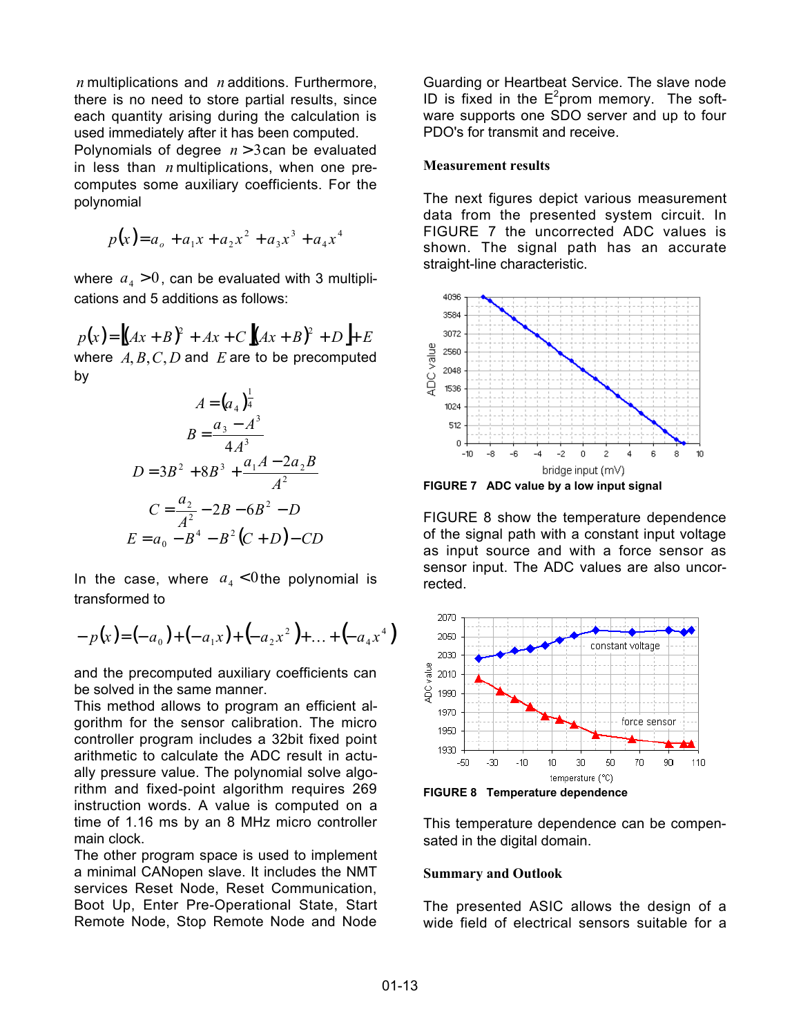*n* multiplications and *n* additions. Furthermore, there is no need to store partial results, since each quantity arising during the calculation is used immediately after it has been computed.

Polynomials of degree *n* > 3can be evaluated in less than *n* multiplications, when one precomputes some auxiliary coefficients. For the polynomial

$$
p(x) = a_o + a_1 x + a_2 x^2 + a_3 x^3 + a_4 x^4
$$

where  $a_4 > 0$ , can be evaluated with 3 multiplications and 5 additions as follows:

 $p(x) = (Ax + B)^2 + Ax + C[(Ax + B)^2 + D] + E$ where  $A, B, C, D$  and  $E$  are to be precomputed by

$$
A = (a_4)^{\frac{1}{4}}
$$
  
\n
$$
B = \frac{a_3 - A^3}{4A^3}
$$
  
\n
$$
D = 3B^2 + 8B^3 + \frac{a_1A - 2a_2B}{A^2}
$$
  
\n
$$
C = \frac{a_2}{A^2} - 2B - 6B^2 - D
$$
  
\n
$$
E = a_0 - B^4 - B^2(C + D) - CD
$$

In the case, where  $a_4 < 0$  the polynomial is transformed to

$$
- p(x) = (-a_0) + (-a_1x) + (-a_2x^2) + ... + (-a_4x^4)
$$

and the precomputed auxiliary coefficients can be solved in the same manner.

This method allows to program an efficient algorithm for the sensor calibration. The micro controller program includes a 32bit fixed point arithmetic to calculate the ADC result in actually pressure value. The polynomial solve algorithm and fixed-point algorithm requires 269 instruction words. A value is computed on a time of 1.16 ms by an 8 MHz micro controller main clock.

The other program space is used to implement a minimal CANopen slave. It includes the NMT services Reset Node, Reset Communication, Boot Up, Enter Pre-Operational State, Start Remote Node, Stop Remote Node and Node

Guarding or Heartbeat Service. The slave node ID is fixed in the  $E^2$ prom memory. The software supports one SDO server and up to four PDO's for transmit and receive.

#### **Measurement results**

The next figures depict various measurement data from the presented system circuit. In FIGURE 7 the uncorrected ADC values is shown. The signal path has an accurate straight-line characteristic.



**FIGURE 7 ADC value by a low input signal**

FIGURE 8 show the temperature dependence of the signal path with a constant input voltage as input source and with a force sensor as sensor input. The ADC values are also uncorrected.



**FIGURE 8 Temperature dependence**

This temperature dependence can be compensated in the digital domain.

#### **Summary and Outlook**

The presented ASIC allows the design of a wide field of electrical sensors suitable for a